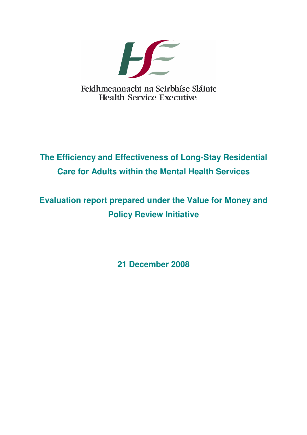

# **The Efficiency and Effectiveness of Long-Stay Residential Care for Adults within the Mental Health Services**

# **Evaluation report prepared under the Value for Money and Policy Review Initiative**

**21 December 2008**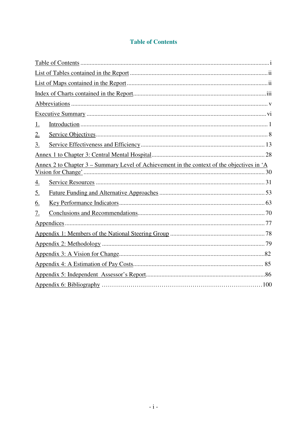## **Table of Contents**

| <u>1.</u> |                                                                                                   |  |  |  |
|-----------|---------------------------------------------------------------------------------------------------|--|--|--|
| 2.        |                                                                                                   |  |  |  |
| <u>3.</u> |                                                                                                   |  |  |  |
|           |                                                                                                   |  |  |  |
|           | <u>Annex 2 to Chapter 3 – Summary Level of Achievement in the context of the objectives in 'A</u> |  |  |  |
| <u>4.</u> |                                                                                                   |  |  |  |
| <u>5.</u> |                                                                                                   |  |  |  |
| <u>6.</u> |                                                                                                   |  |  |  |
| <u>7.</u> |                                                                                                   |  |  |  |
|           |                                                                                                   |  |  |  |
|           |                                                                                                   |  |  |  |
|           |                                                                                                   |  |  |  |
|           |                                                                                                   |  |  |  |
|           |                                                                                                   |  |  |  |
|           |                                                                                                   |  |  |  |
|           |                                                                                                   |  |  |  |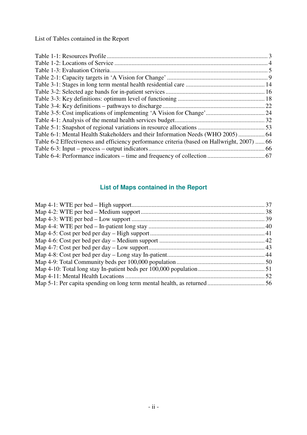List of Tables contained in the Report

| Table 6-1: Mental Health Stakeholders and their Information Needs (WHO 2005) 64             |  |
|---------------------------------------------------------------------------------------------|--|
| Table 6-2 Effectiveness and efficiency performance criteria (based on Hallwright, 2007)  66 |  |
|                                                                                             |  |
|                                                                                             |  |

# **List of Maps contained in the Report**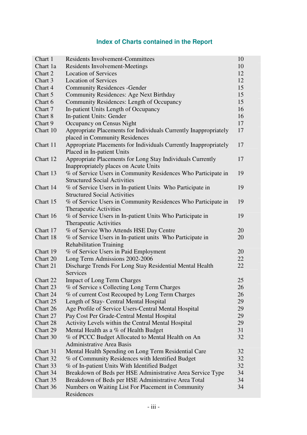# **Index of Charts contained in the Report**

| Chart 1  | <b>Residents Involvement-Committees</b>                                                              | 10 |
|----------|------------------------------------------------------------------------------------------------------|----|
| Chart 1a | <b>Residents Involvement-Meetings</b>                                                                | 10 |
| Chart 2  | <b>Location of Services</b>                                                                          | 12 |
| Chart 3  | <b>Location of Services</b>                                                                          | 12 |
| Chart 4  | <b>Community Residences - Gender</b>                                                                 | 15 |
| Chart 5  | Community Residences: Age Next Birthday                                                              | 15 |
| Chart 6  | Community Residences: Length of Occupancy                                                            | 15 |
| Chart 7  | In-patient Units Length of Occupancy                                                                 | 16 |
| Chart 8  | In-patient Units: Gender                                                                             | 16 |
| Chart 9  | Occupancy on Census Night                                                                            | 17 |
| Chart 10 | Appropriate Placements for Individuals Currently Inappropriately<br>placed in Community Residences   | 17 |
| Chart 11 | Appropriate Placements for Individuals Currently Inappropriately<br>Placed in In-patient Units       | 17 |
| Chart 12 | Appropriate Placements for Long Stay Individuals Currently<br>Inappropriately places on Acute Units  | 17 |
| Chart 13 | % of Service Users in Community Residences Who Participate in<br><b>Structured Social Activities</b> | 19 |
| Chart 14 | % of Service Users in In-patient Units Who Participate in<br><b>Structured Social Activities</b>     | 19 |
| Chart 15 | % of Service Users in Community Residences Who Participate in<br><b>Therapeutic Activities</b>       | 19 |
| Chart 16 | % of Service Users in In-patient Units Who Participate in<br><b>Therapeutic Activities</b>           | 19 |
| Chart 17 | % of Service Who Attends HSE Day Centre                                                              | 20 |
| Chart 18 | % of Service Users in In-patient units Who Participate in                                            | 20 |
|          | <b>Rehabilitation Training</b>                                                                       |    |
| Chart 19 | % of Service Users in Paid Employment                                                                | 20 |
| Chart 20 | Long Term Admissions 2002-2006                                                                       | 22 |
| Chart 21 | Discharge Trends For Long Stay Residential Mental Health<br><b>Services</b>                          | 22 |
| Chart 22 | <b>Impact of Long Term Charges</b>                                                                   | 25 |
| Chart 23 | % of Service s Collecting Long Term Charges                                                          | 26 |
| Chart 24 | % of current Cost Recouped by Long Term Charges                                                      | 26 |
| Chart 25 | Length of Stay- Central Mental Hospital                                                              | 29 |
| Chart 26 | Age Profile of Service Users-Central Mental Hospital                                                 | 29 |
| Chart 27 | Pay Cost Per Grade-Central Mental Hospital                                                           | 29 |
| Chart 28 | Activity Levels within the Central Mental Hospital                                                   | 29 |
| Chart 29 | Mental Health as a % of Health Budget                                                                | 31 |
| Chart 30 | % of PCCC Budget Allocated to Mental Health on An                                                    | 32 |
|          | <b>Administrative Area Basis</b>                                                                     |    |
| Chart 31 | Mental Health Spending on Long Term Residential Care                                                 | 32 |
| Chart 32 | % of Community Residences with Identified Budget                                                     | 32 |
| Chart 33 | % of In-patient Units With Identified Budget                                                         | 32 |
| Chart 34 | Breakdown of Beds per HSE Administrative Area Service Type                                           | 34 |
| Chart 35 | Breakdown of Beds per HSE Administrative Area Total                                                  | 34 |
| Chart 36 | Numbers on Waiting List For Placement in Community<br>Residences                                     | 34 |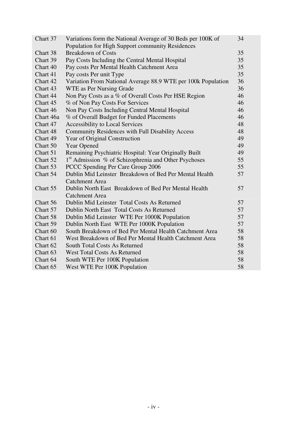| Chart 37  | Variations form the National Average of 30 Beds per 100K of      | 34 |
|-----------|------------------------------------------------------------------|----|
|           | Population for High Support community Residences                 |    |
| Chart 38  | <b>Breakdown of Costs</b>                                        | 35 |
| Chart 39  | Pay Costs Including the Central Mental Hospital                  | 35 |
| Chart 40  | Pay costs Per Mental Health Catchment Area                       | 35 |
| Chart 41  | Pay costs Per unit Type                                          | 35 |
| Chart 42  | Variation From National Average 88.9 WTE per 100k Population     | 36 |
| Chart 43  | WTE as Per Nursing Grade                                         | 36 |
| Chart 44  | Non Pay Costs as a % of Overall Costs Per HSE Region             | 46 |
| Chart 45  | % of Non Pay Costs For Services                                  | 46 |
| Chart 46  | Non Pay Costs Including Central Mental Hospital                  | 46 |
| Chart 46a | % of Overall Budget for Funded Placements                        | 46 |
| Chart 47  | <b>Accessibility to Local Services</b>                           | 48 |
| Chart 48  | Community Residences with Full Disability Access                 | 48 |
| Chart 49  | Year of Original Construction                                    | 49 |
| Chart 50  | <b>Year Opened</b>                                               | 49 |
| Chart 51  | Remaining Psychiatric Hospital: Year Originally Built            | 49 |
| Chart 52  | 1 <sup>st</sup> Admission % of Schizophrenia and Other Psychoses | 55 |
| Chart 53  | PCCC Spending Per Care Group 2006                                | 55 |
| Chart 54  | Dublin Mid Leinster Breakdown of Bed Per Mental Health           | 57 |
|           | <b>Catchment Area</b>                                            |    |
| Chart 55  | Dublin North East Breakdown of Bed Per Mental Health             | 57 |
|           | <b>Catchment Area</b>                                            |    |
| Chart 56  | Dublin Mid Leinster Total Costs As Returned                      | 57 |
| Chart 57  | Dublin North East Total Costs As Returned                        | 57 |
| Chart 58  | Dublin Mid Leinster WTE Per 1000K Population                     | 57 |
| Chart 59  | Dublin North East WTE Per 1000K Population                       | 57 |
| Chart 60  | South Breakdown of Bed Per Mental Health Catchment Area          | 58 |
| Chart 61  | West Breakdown of Bed Per Mental Health Catchment Area           | 58 |
| Chart 62  | <b>South Total Costs As Returned</b>                             | 58 |
| Chart 63  | <b>West Total Costs As Returned</b>                              | 58 |
| Chart 64  | South WTE Per 100K Population                                    | 58 |
| Chart 65  | West WTE Per 100K Population                                     | 58 |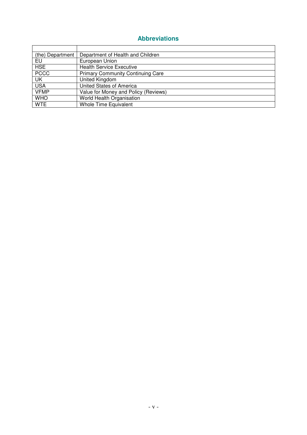# **Abbreviations**

| (the) Department | Department of Health and Children        |
|------------------|------------------------------------------|
| EU               | European Union                           |
| <b>HSE</b>       | <b>Health Service Executive</b>          |
| <b>PCCC</b>      | <b>Primary Community Continuing Care</b> |
| UK               | <b>United Kingdom</b>                    |
| <b>USA</b>       | United States of America                 |
| <b>VFMP</b>      | Value for Money and Policy (Reviews)     |
| <b>WHO</b>       | World Health Organisation                |
| <b>WTE</b>       | <b>Whole Time Equivalent</b>             |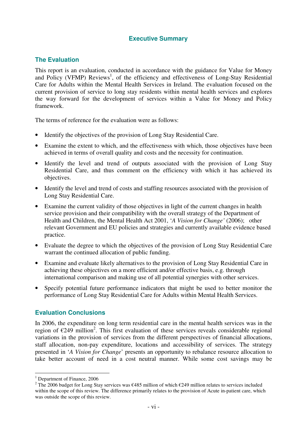## **Executive Summary**

#### **The Evaluation**

This report is an evaluation, conducted in accordance with the guidance for Value for Money and Policy (VFMP) Reviews<sup>1</sup>, of the efficiency and effectiveness of Long-Stay Residential Care for Adults within the Mental Health Services in Ireland. The evaluation focused on the current provision of service to long stay residents within mental health services and explores the way forward for the development of services within a Value for Money and Policy framework.

The terms of reference for the evaluation were as follows:

- Identify the objectives of the provision of Long Stay Residential Care.
- Examine the extent to which, and the effectiveness with which, those objectives have been achieved in terms of overall quality and costs and the necessity for continuation.
- Identify the level and trend of outputs associated with the provision of Long Stay Residential Care, and thus comment on the efficiency with which it has achieved its objectives.
- Identify the level and trend of costs and staffing resources associated with the provision of Long Stay Residential Care.
- Examine the current validity of those objectives in light of the current changes in health service provision and their compatibility with the overall strategy of the Department of Health and Children, the Mental Health Act 2001, '*A Vision for Change'* (2006); other relevant Government and EU policies and strategies and currently available evidence based practice.
- Evaluate the degree to which the objectives of the provision of Long Stay Residential Care warrant the continued allocation of public funding.
- Examine and evaluate likely alternatives to the provision of Long Stay Residential Care in achieving these objectives on a more efficient and/or effective basis, e.g. through international comparison and making use of all potential synergies with other services.
- Specify potential future performance indicators that might be used to better monitor the performance of Long Stay Residential Care for Adults within Mental Health Services.

#### **Evaluation Conclusions**

In 2006, the expenditure on long term residential care in the mental health services was in the region of  $\epsilon$ 249 million<sup>2</sup>. This first evaluation of these services reveals considerable regional variations in the provision of services from the different perspectives of financial allocations, staff allocation, non-pay expenditure, locations and accessibility of services. The strategy presented in '*A Vision for Change*' presents an opportunity to rebalance resource allocation to take better account of need in a cost neutral manner. While some cost savings may be

 $\overline{a}$ 

<sup>&</sup>lt;sup>1</sup> Department of Finance, 2006

<sup>&</sup>lt;sup>2</sup> The 2006 budget for Long Stay services was  $\epsilon$ 485 million of which  $\epsilon$ 249 million relates to services included within the scope of this review. The difference primarily relates to the provision of Acute in-patient care, which was outside the scope of this review.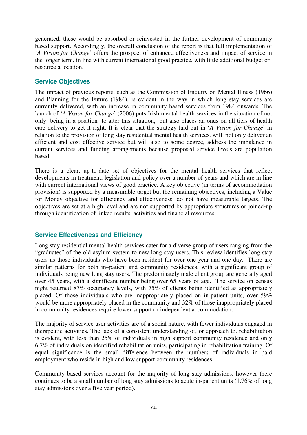generated, these would be absorbed or reinvested in the further development of community based support. Accordingly, the overall conclusion of the report is that full implementation of '*A Vision for Change*' offers the prospect of enhanced effectiveness and impact of service in the longer term, in line with current international good practice, with little additional budget or resource allocation.

#### **Service Objectives**

.

The impact of previous reports, such as the Commission of Enquiry on Mental Illness (1966) and Planning for the Future (1984), is evident in the way in which long stay services are currently delivered, with an increase in community based services from 1984 onwards. The launch of **'***A Vision for Change***'** (2006) puts Irish mental health services in the situation of not only being in a position to alter this situation, but also places an onus on all tiers of health care delivery to get it right. It is clear that the strategy laid out in **'***A Vision for Change*' in relation to the provision of long stay residential mental health services, will not only deliver an efficient and cost effective service but will also to some degree, address the imbalance in current services and funding arrangements because proposed service levels are population based.

There is a clear, up-to-date set of objectives for the mental health services that reflect developments in treatment, legislation and policy over a number of years and which are in line with current international views of good practice. A key objective (in terms of accommodation provision) is supported by a measurable target but the remaining objectives, including a Value for Money objective for efficiency and effectiveness, do not have measurable targets. The objectives are set at a high level and are not supported by appropriate structures or joined-up through identification of linked results, activities and financial resources.

## **Service Effectiveness and Efficiency**

Long stay residential mental health services cater for a diverse group of users ranging from the "graduates" of the old asylum system to new long stay users. This review identifies long stay users as those individuals who have been resident for over one year and one day. There are similar patterns for both in–patient and community residences, with a significant group of individuals being new long stay users. The predominately male client group are generally aged over 45 years, with a significant number being over 65 years of age. The service on census night returned 87% occupancy levels, with 75% of clients being identified as appropriately placed. Of those individuals who are inappropriately placed on in-patient units, over 59% would be more appropriately placed in the community and 32% of those inappropriately placed in community residences require lower support or independent accommodation.

The majority of service user activities are of a social nature, with fewer individuals engaged in therapeutic activities. The lack of a consistent understanding of, or approach to, rehabilitation is evident, with less than 25% of individuals in high support community residence and only 6.7% of individuals on identified rehabilitation units, participating in rehabilitation training. Of equal significance is the small difference between the numbers of individuals in paid employment who reside in high and low support community residences.

Community based services account for the majority of long stay admissions, however there continues to be a small number of long stay admissions to acute in-patient units (1.76% of long stay admissions over a five year period).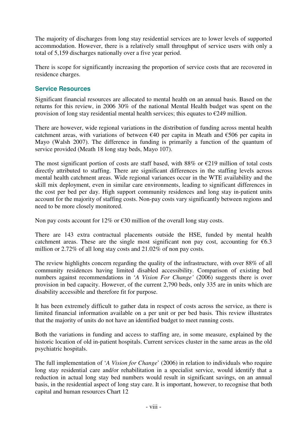The majority of discharges from long stay residential services are to lower levels of supported accommodation. However, there is a relatively small throughput of service users with only a total of 5,159 discharges nationally over a five year period.

There is scope for significantly increasing the proportion of service costs that are recovered in residence charges.

#### **Service Resources**

Significant financial resources are allocated to mental health on an annual basis. Based on the returns for this review, in 2006 30% of the national Mental Health budget was spent on the provision of long stay residential mental health services; this equates to  $\epsilon$ 249 million.

There are however, wide regional variations in the distribution of funding across mental health catchment areas, with variations of between  $€40$  per capita in Meath and  $€506$  per capita in Mayo (Walsh 2007). The difference in funding is primarily a function of the quantum of service provided (Meath 18 long stay beds, Mayo 107).

The most significant portion of costs are staff based, with 88% or  $\epsilon$ 219 million of total costs directly attributed to staffing. There are significant differences in the staffing levels across mental health catchment areas. Wide regional variances occur in the WTE availability and the skill mix deployment, even in similar care environments, leading to significant differences in the cost per bed per day. High support community residences and long stay in-patient units account for the majority of staffing costs. Non-pay costs vary significantly between regions and need to be more closely monitored.

Non pay costs account for 12% or  $\epsilon$ 30 million of the overall long stay costs.

There are 143 extra contractual placements outside the HSE, funded by mental health catchment areas. These are the single most significant non pay cost, accounting for  $\epsilon$ 6.3 million or 2.72% of all long stay costs and 21.02% of non pay costs.

The review highlights concern regarding the quality of the infrastructure, with over 88% of all community residences having limited disabled accessibility. Comparison of existing bed numbers against recommendations in '*A Vision For Change'* (2006) suggests there is over provision in bed capacity. However, of the current 2,790 beds, only 335 are in units which are disability accessible and therefore fit for purpose.

It has been extremely difficult to gather data in respect of costs across the service, as there is limited financial information available on a per unit or per bed basis. This review illustrates that the majority of units do not have an identified budget to meet running costs.

Both the variations in funding and access to staffing are, in some measure, explained by the historic location of old in-patient hospitals. Current services cluster in the same areas as the old psychiatric hospitals.

The full implementation of '*A Vision for Change*' (2006) in relation to individuals who require long stay residential care and/or rehabilitation in a specialist service, would identify that a reduction in actual long stay bed numbers would result in significant savings, on an annual basis, in the residential aspect of long stay care. It is important, however, to recognise that both capital and human resources Chart 12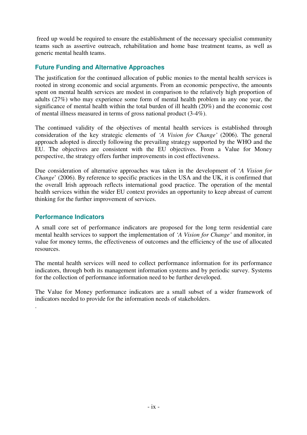freed up would be required to ensure the establishment of the necessary specialist community teams such as assertive outreach, rehabilitation and home base treatment teams, as well as generic mental health teams.

# **Future Funding and Alternative Approaches**

The justification for the continued allocation of public monies to the mental health services is rooted in strong economic and social arguments. From an economic perspective, the amounts spent on mental health services are modest in comparison to the relatively high proportion of adults (27%) who may experience some form of mental health problem in any one year, the significance of mental health within the total burden of ill health (20%) and the economic cost of mental illness measured in terms of gross national product (3-4%).

The continued validity of the objectives of mental health services is established through consideration of the key strategic elements of *'A Vision for Change'* (2006). The general approach adopted is directly following the prevailing strategy supported by the WHO and the EU. The objectives are consistent with the EU objectives. From a Value for Money perspective, the strategy offers further improvements in cost effectiveness.

Due consideration of alternative approaches was taken in the development of '*A Vision for Change*' (2006). By reference to specific practices in the USA and the UK, it is confirmed that the overall Irish approach reflects international good practice. The operation of the mental health services within the wider EU context provides an opportunity to keep abreast of current thinking for the further improvement of services.

#### **Performance Indicators**

.

A small core set of performance indicators are proposed for the long term residential care mental health services to support the implementation of *'A Vision for Change'* and monitor, in value for money terms, the effectiveness of outcomes and the efficiency of the use of allocated resources.

The mental health services will need to collect performance information for its performance indicators, through both its management information systems and by periodic survey. Systems for the collection of performance information need to be further developed.

The Value for Money performance indicators are a small subset of a wider framework of indicators needed to provide for the information needs of stakeholders.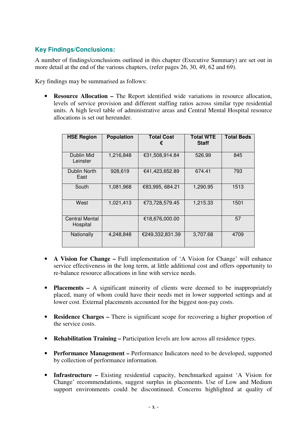# **Key Findings/Conclusions:**

A number of findings/conclusions outlined in this chapter (Executive Summary) are set out in more detail at the end of the various chapters, (refer pages 26, 30, 49, 62 and 69).

Key findings may be summarised as follows:

• **Resource Allocation –** The Report identified wide variations in resource allocation, levels of service provision and different staffing ratios across similar type residential units. A high level table of administrative areas and Central Mental Hospital resource allocations is set out hereunder.

| <b>HSE Region</b>                 | <b>Population</b> | <b>Total Cost</b><br>€ | <b>Total WTE</b><br><b>Staff</b> | <b>Total Beds</b> |
|-----------------------------------|-------------------|------------------------|----------------------------------|-------------------|
| Dublin Mid<br>Leinster            | 1,216,848         | €31,508,914.84         | 526.99                           | 845               |
| Dublin North<br>East              | 928,619           | €41,423,652.89         | 674.41                           | 793               |
| South                             | 1,081,968         | €83,995, 684.21        | 1,290.95                         | 1513              |
| West                              | 1,021,413         | €73,728,579.45         | 1,215.33                         | 1501              |
| <b>Central Mental</b><br>Hospital |                   | €18,676,000.00         |                                  | 57                |
| Nationally                        | 4,248,848         | €249,332,831.39        | 3,707.68                         | 4709              |

- **A Vision for Change** Full implementation of 'A Vision for Change' will enhance service effectiveness in the long term, at little additional cost and offers opportunity to re-balance resource allocations in line with service needs.
- **Placements** A significant minority of clients were deemed to be inappropriately placed, many of whom could have their needs met in lower supported settings and at lower cost. External placements accounted for the biggest non-pay costs.
- **Residence Charges –** There is significant scope for recovering a higher proportion of the service costs.
- **Rehabilitation Training** Participation levels are low across all residence types.
- **Performance Management** Performance Indicators need to be developed, supported by collection of performance information.
- **Infrastructure** Existing residential capacity, benchmarked against 'A Vision for Change' recommendations, suggest surplus in placements. Use of Low and Medium support environments could be discontinued. Concerns highlighted at quality of